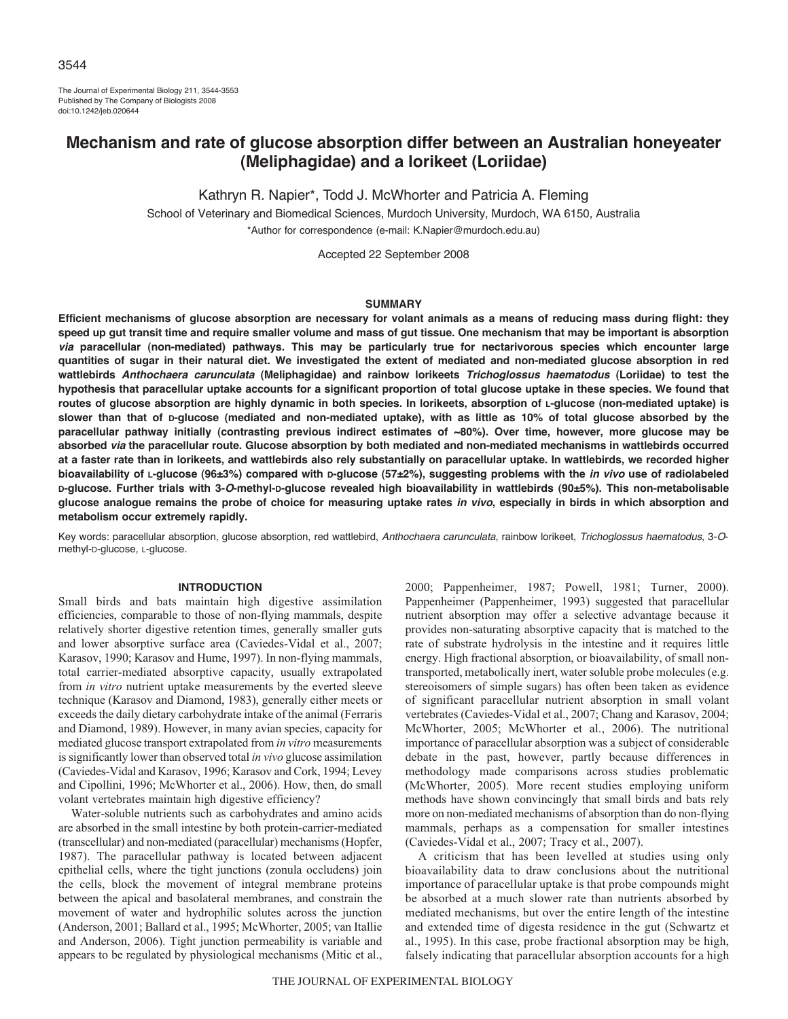The Journal of Experimental Biology 211, 3544-3553 Published by The Company of Biologists 2008 doi:10.1242/jeb.020644

# **Mechanism and rate of glucose absorption differ between an Australian honeyeater (Meliphagidae) and a lorikeet (Loriidae)**

Kathryn R. Napier\*, Todd J. McWhorter and Patricia A. Fleming

School of Veterinary and Biomedical Sciences, Murdoch University, Murdoch, WA 6150, Australia \*Author for correspondence (e-mail: K.Napier@murdoch.edu.au)

Accepted 22 September 2008

#### **SUMMARY**

**Efficient mechanisms of glucose absorption are necessary for volant animals as a means of reducing mass during flight: they speed up gut transit time and require smaller volume and mass of gut tissue. One mechanism that may be important is absorption** *via* **paracellular (non-mediated) pathways. This may be particularly true for nectarivorous species which encounter large quantities of sugar in their natural diet. We investigated the extent of mediated and non-mediated glucose absorption in red wattlebirds** *Anthochaera carunculata* **(Meliphagidae) and rainbow lorikeets** *Trichoglossus haematodus* **(Loriidae) to test the hypothesis that paracellular uptake accounts for a significant proportion of total glucose uptake in these species. We found that routes of glucose absorption are highly dynamic in both species. In lorikeets, absorption of L-glucose (non-mediated uptake) is slower than that of D-glucose (mediated and non-mediated uptake), with as little as 10% of total glucose absorbed by the paracellular pathway initially (contrasting previous indirect estimates of ~80%). Over time, however, more glucose may be absorbed** *via* **the paracellular route. Glucose absorption by both mediated and non-mediated mechanisms in wattlebirds occurred at a faster rate than in lorikeets, and wattlebirds also rely substantially on paracellular uptake. In wattlebirds, we recorded higher bioavailability of L-glucose (96±3%) compared with D-glucose (57±2%), suggesting problems with the** *in vivo* **use of radiolabeled D-glucose. Further trials with 3-***O***-methyl-D-glucose revealed high bioavailability in wattlebirds (90±5%). This non-metabolisable glucose analogue remains the probe of choice for measuring uptake rates** *in vivo***, especially in birds in which absorption and metabolism occur extremely rapidly.**

Key words: paracellular absorption, glucose absorption, red wattlebird, Anthochaera carunculata, rainbow lorikeet, Trichoglossus haematodus, 3-Omethyl-D-glucose, L-glucose.

## **INTRODUCTION**

Small birds and bats maintain high digestive assimilation efficiencies, comparable to those of non-flying mammals, despite relatively shorter digestive retention times, generally smaller guts and lower absorptive surface area (Caviedes-Vidal et al., 2007; Karasov, 1990; Karasov and Hume, 1997). In non-flying mammals, total carrier-mediated absorptive capacity, usually extrapolated from *in vitro* nutrient uptake measurements by the everted sleeve technique (Karasov and Diamond, 1983), generally either meets or exceeds the daily dietary carbohydrate intake of the animal (Ferraris and Diamond, 1989). However, in many avian species, capacity for mediated glucose transport extrapolated from *in vitro* measurements is significantly lower than observed total *in vivo* glucose assimilation (Caviedes-Vidal and Karasov, 1996; Karasov and Cork, 1994; Levey and Cipollini, 1996; McWhorter et al., 2006). How, then, do small volant vertebrates maintain high digestive efficiency?

Water-soluble nutrients such as carbohydrates and amino acids are absorbed in the small intestine by both protein-carrier-mediated (transcellular) and non-mediated (paracellular) mechanisms (Hopfer, 1987). The paracellular pathway is located between adjacent epithelial cells, where the tight junctions (zonula occludens) join the cells, block the movement of integral membrane proteins between the apical and basolateral membranes, and constrain the movement of water and hydrophilic solutes across the junction (Anderson, 2001; Ballard et al., 1995; McWhorter, 2005; van Itallie and Anderson, 2006). Tight junction permeability is variable and appears to be regulated by physiological mechanisms (Mitic et al.,

2000; Pappenheimer, 1987; Powell, 1981; Turner, 2000). Pappenheimer (Pappenheimer, 1993) suggested that paracellular nutrient absorption may offer a selective advantage because it provides non-saturating absorptive capacity that is matched to the rate of substrate hydrolysis in the intestine and it requires little energy. High fractional absorption, or bioavailability, of small nontransported, metabolically inert, water soluble probe molecules (e.g. stereoisomers of simple sugars) has often been taken as evidence of significant paracellular nutrient absorption in small volant vertebrates (Caviedes-Vidal et al., 2007; Chang and Karasov, 2004; McWhorter, 2005; McWhorter et al., 2006). The nutritional importance of paracellular absorption was a subject of considerable debate in the past, however, partly because differences in methodology made comparisons across studies problematic (McWhorter, 2005). More recent studies employing uniform methods have shown convincingly that small birds and bats rely more on non-mediated mechanisms of absorption than do non-flying mammals, perhaps as a compensation for smaller intestines (Caviedes-Vidal et al., 2007; Tracy et al., 2007).

A criticism that has been levelled at studies using only bioavailability data to draw conclusions about the nutritional importance of paracellular uptake is that probe compounds might be absorbed at a much slower rate than nutrients absorbed by mediated mechanisms, but over the entire length of the intestine and extended time of digesta residence in the gut (Schwartz et al., 1995). In this case, probe fractional absorption may be high, falsely indicating that paracellular absorption accounts for a high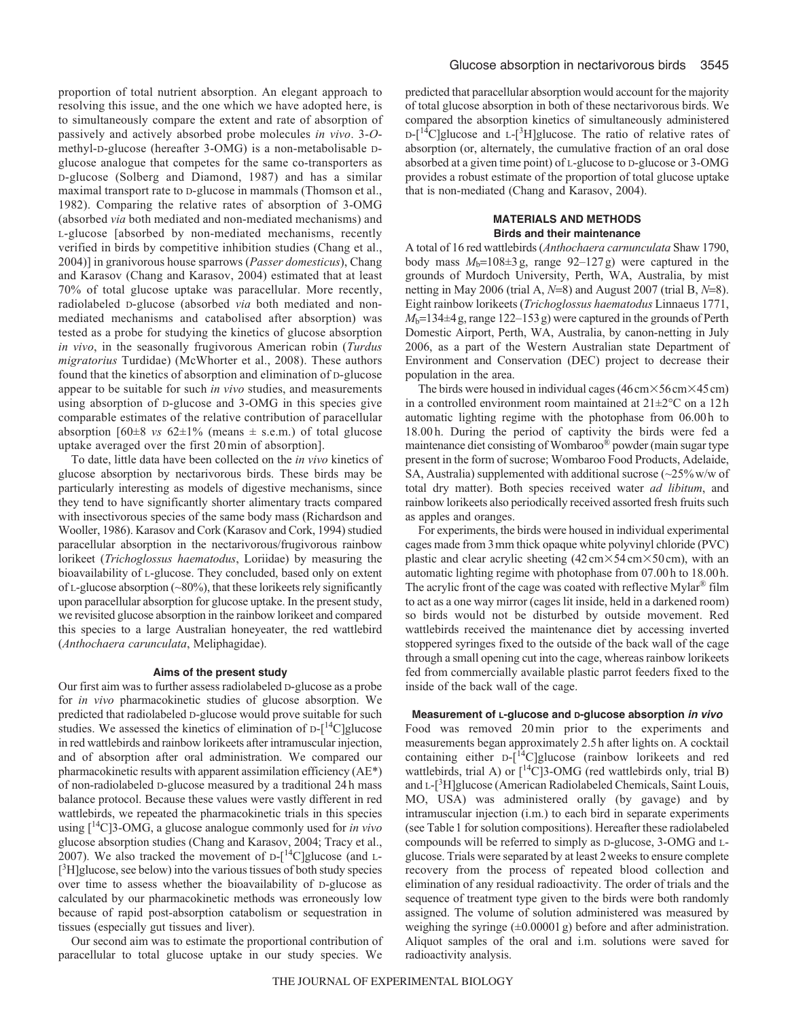proportion of total nutrient absorption. An elegant approach to resolving this issue, and the one which we have adopted here, is to simultaneously compare the extent and rate of absorption of passively and actively absorbed probe molecules *in vivo*. 3-*O*methyl-D-glucose (hereafter 3-OMG) is a non-metabolisable Dglucose analogue that competes for the same co-transporters as D-glucose (Solberg and Diamond, 1987) and has a similar maximal transport rate to D-glucose in mammals (Thomson et al., 1982). Comparing the relative rates of absorption of 3-OMG (absorbed *via* both mediated and non-mediated mechanisms) and L-glucose [absorbed by non-mediated mechanisms, recently verified in birds by competitive inhibition studies (Chang et al., 2004)] in granivorous house sparrows (*Passer domesticus*), Chang and Karasov (Chang and Karasov, 2004) estimated that at least 70% of total glucose uptake was paracellular. More recently, radiolabeled D-glucose (absorbed *via* both mediated and nonmediated mechanisms and catabolised after absorption) was tested as a probe for studying the kinetics of glucose absorption *in vivo*, in the seasonally frugivorous American robin (*Turdus migratorius* Turdidae) (McWhorter et al., 2008). These authors found that the kinetics of absorption and elimination of D-glucose appear to be suitable for such *in vivo* studies, and measurements using absorption of D-glucose and 3-OMG in this species give comparable estimates of the relative contribution of paracellular absorption  $[60\pm8 \text{ vs } 62\pm1\% \text{ (means } \pm \text{ s.e.m.}) \text{ of total glucose}$ uptake averaged over the first 20min of absorption].

To date, little data have been collected on the *in vivo* kinetics of glucose absorption by nectarivorous birds. These birds may be particularly interesting as models of digestive mechanisms, since they tend to have significantly shorter alimentary tracts compared with insectivorous species of the same body mass (Richardson and Wooller, 1986). Karasov and Cork (Karasov and Cork, 1994) studied paracellular absorption in the nectarivorous/frugivorous rainbow lorikeet (*Trichoglossus haematodus*, Loriidae) by measuring the bioavailability of L-glucose. They concluded, based only on extent of L-glucose absorption  $(\sim 80\%)$ , that these lorikeets rely significantly upon paracellular absorption for glucose uptake. In the present study, we revisited glucose absorption in the rainbow lorikeet and compared this species to a large Australian honeyeater, the red wattlebird (*Anthochaera carunculata*, Meliphagidae).

#### **Aims of the present study**

Our first aim was to further assess radiolabeled D-glucose as a probe for *in vivo* pharmacokinetic studies of glucose absorption. We predicted that radiolabeled D-glucose would prove suitable for such studies. We assessed the kinetics of elimination of  $D-[14C]$ glucose in red wattlebirds and rainbow lorikeets after intramuscular injection, and of absorption after oral administration. We compared our pharmacokinetic results with apparent assimilation efficiency (AE\*) of non-radiolabeled D-glucose measured by a traditional 24h mass balance protocol. Because these values were vastly different in red wattlebirds, we repeated the pharmacokinetic trials in this species using [14C]3-OMG, a glucose analogue commonly used for *in vivo* glucose absorption studies (Chang and Karasov, 2004; Tracy et al., 2007). We also tracked the movement of  $D-[14C]$ glucose (and L-[<sup>3</sup>H]glucose, see below) into the various tissues of both study species over time to assess whether the bioavailability of D-glucose as calculated by our pharmacokinetic methods was erroneously low because of rapid post-absorption catabolism or sequestration in tissues (especially gut tissues and liver).

Our second aim was to estimate the proportional contribution of paracellular to total glucose uptake in our study species. We

predicted that paracellular absorption would account for the majority of total glucose absorption in both of these nectarivorous birds. We compared the absorption kinetics of simultaneously administered  $D-[$ <sup>14</sup>C]glucose and L-[<sup>3</sup>H]glucose. The ratio of relative rates of absorption (or, alternately, the cumulative fraction of an oral dose absorbed at a given time point) of L-glucose to D-glucose or 3-OMG provides a robust estimate of the proportion of total glucose uptake that is non-mediated (Chang and Karasov, 2004).

## **MATERIALS AND METHODS Birds and their maintenance**

A total of 16 red wattlebirds (*Anthochaera carnunculata* Shaw 1790, body mass  $M_b=108\pm 3$  g, range  $92-127$  g) were captured in the grounds of Murdoch University, Perth, WA, Australia, by mist netting in May 2006 (trial A, *N*=8) and August 2007 (trial B, *N*=8). Eight rainbow lorikeets (*Trichoglossus haematodus* Linnaeus 1771,  $M_b$ =134 $\pm$ 4g, range 122–153g) were captured in the grounds of Perth Domestic Airport, Perth, WA, Australia, by canon-netting in July 2006, as a part of the Western Australian state Department of Environment and Conservation (DEC) project to decrease their population in the area.

The birds were housed in individual cages  $(46 \text{ cm} \times 56 \text{ cm} \times 45 \text{ cm})$ in a controlled environment room maintained at 21±2°C on a 12h automatic lighting regime with the photophase from 06.00h to 18.00 h. During the period of captivity the birds were fed a maintenance diet consisting of Wombaroo® powder (main sugar type present in the form of sucrose; Wombaroo Food Products, Adelaide, SA, Australia) supplemented with additional sucrose  $\left\langle \sim 25\% \text{ w/w of }\right\rangle$ total dry matter). Both species received water *ad libitum*, and rainbow lorikeets also periodically received assorted fresh fruits such as apples and oranges.

For experiments, the birds were housed in individual experimental cages made from 3mm thick opaque white polyvinyl chloride (PVC) plastic and clear acrylic sheeting  $(42 \text{ cm} \times 54 \text{ cm} \times 50 \text{ cm})$ , with an automatic lighting regime with photophase from 07.00h to 18.00h. The acrylic front of the cage was coated with reflective Mylar® film to act as a one way mirror (cages lit inside, held in a darkened room) so birds would not be disturbed by outside movement. Red wattlebirds received the maintenance diet by accessing inverted stoppered syringes fixed to the outside of the back wall of the cage through a small opening cut into the cage, whereas rainbow lorikeets fed from commercially available plastic parrot feeders fixed to the inside of the back wall of the cage.

# **Measurement of L-glucose and D-glucose absorption** *in vivo*

Food was removed 20 min prior to the experiments and measurements began approximately 2.5h after lights on. A cocktail containing either D-[14C]glucose (rainbow lorikeets and red wattlebirds, trial A) or  $\int_0^{14}$ C[3-OMG (red wattlebirds only, trial B) and L-[<sup>3</sup>H]glucose (American Radiolabeled Chemicals, Saint Louis, MO, USA) was administered orally (by gavage) and by intramuscular injection (i.m.) to each bird in separate experiments (see Table1 for solution compositions). Hereafter these radiolabeled compounds will be referred to simply as D-glucose, 3-OMG and Lglucose. Trials were separated by at least 2weeks to ensure complete recovery from the process of repeated blood collection and elimination of any residual radioactivity. The order of trials and the sequence of treatment type given to the birds were both randomly assigned. The volume of solution administered was measured by weighing the syringe  $(\pm 0.00001 \text{ g})$  before and after administration. Aliquot samples of the oral and i.m. solutions were saved for radioactivity analysis.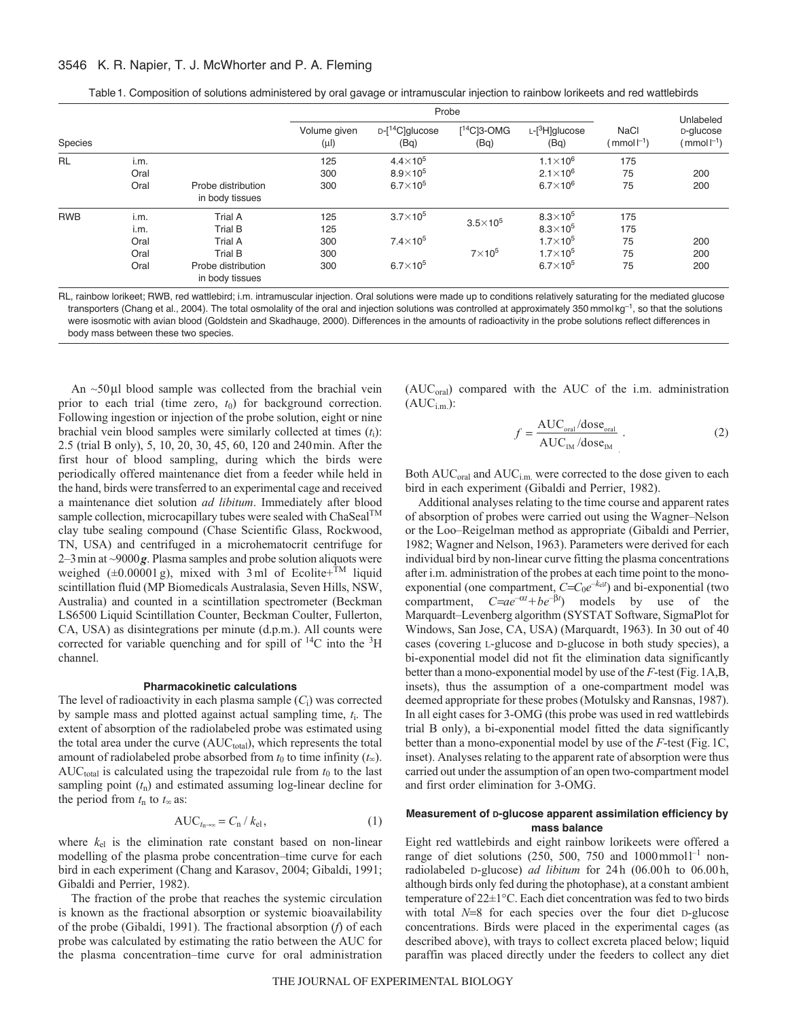## 3546 K. R. Napier, T. J. McWhorter and P. A. Fleming

|                |                                      |                                                                                                 |                                 | Probe                                                       |                                   | Unlabeled                                                                                             |                                              |                                        |
|----------------|--------------------------------------|-------------------------------------------------------------------------------------------------|---------------------------------|-------------------------------------------------------------|-----------------------------------|-------------------------------------------------------------------------------------------------------|----------------------------------------------|----------------------------------------|
| <b>Species</b> |                                      |                                                                                                 | Volume given<br>$(\mu$ l        | $D-[14C]$ glucose<br>(Bq)                                   | $[$ <sup>14</sup> C]3-OMG<br>(Bq) | $L$ - $[3H]$ glucose<br>(Bq)                                                                          | <b>NaCl</b><br>$\text{mmol}\, \text{L}^{-1}$ | D-glucose<br>(mmol $\mathsf{l}^{-1}$ ) |
| <b>RL</b>      | i.m.<br>Oral<br>Oral                 | Probe distribution<br>in body tissues                                                           | 125<br>300<br>300               | $4.4\times10^{5}$<br>$8.9\times10^{5}$<br>$6.7\times10^{5}$ |                                   | $1.1 \times 10^{6}$<br>$2.1 \times 10^{6}$<br>$6.7\times10^{6}$                                       | 175<br>75<br>75                              | 200<br>200                             |
| <b>RWB</b>     | i.m.<br>i.m.<br>Oral<br>Oral<br>Oral | <b>Trial A</b><br>Trial B<br><b>Trial A</b><br>Trial B<br>Probe distribution<br>in body tissues | 125<br>125<br>300<br>300<br>300 | $3.7\times10^5$<br>$7.4\times10^{5}$<br>$6.7\times10^{5}$   | $3.5\times10^5$<br>$7\times10^5$  | $8.3\times10^{5}$<br>$8.3\times10^{5}$<br>$1.7\times10^{5}$<br>$1.7\times10^{5}$<br>$6.7\times10^{5}$ | 175<br>175<br>75<br>75<br>75                 | 200<br>200<br>200                      |

Table1. Composition of solutions administered by oral gavage or intramuscular injection to rainbow lorikeets and red wattlebirds

RL, rainbow lorikeet; RWB, red wattlebird; i.m. intramuscular injection. Oral solutions were made up to conditions relatively saturating for the mediated glucose transporters (Chang et al., 2004). The total osmolality of the oral and injection solutions was controlled at approximately 350 mmol kg<sup>-1</sup>, so that the solutions were isosmotic with avian blood (Goldstein and Skadhauge, 2000). Differences in the amounts of radioactivity in the probe solutions reflect differences in body mass between these two species.

An ~50μl blood sample was collected from the brachial vein prior to each trial (time zero,  $t_0$ ) for background correction. Following ingestion or injection of the probe solution, eight or nine brachial vein blood samples were similarly collected at times (*t*i): 2.5 (trial B only), 5, 10, 20, 30, 45, 60, 120 and 240min. After the first hour of blood sampling, during which the birds were periodically offered maintenance diet from a feeder while held in the hand, birds were transferred to an experimental cage and received a maintenance diet solution *ad libitum*. Immediately after blood sample collection, microcapillary tubes were sealed with  $ChaSeal<sup>TM</sup>$ clay tube sealing compound (Chase Scientific Glass, Rockwood, TN, USA) and centrifuged in a microhematocrit centrifuge for 2–3min at ~9000*g*. Plasma samples and probe solution aliquots were weighed ( $\pm 0.00001$  g), mixed with 3 ml of Ecolite+<sup>TM</sup> liquid scintillation fluid (MP Biomedicals Australasia, Seven Hills, NSW, Australia) and counted in a scintillation spectrometer (Beckman LS6500 Liquid Scintillation Counter, Beckman Coulter, Fullerton, CA, USA) as disintegrations per minute (d.p.m.). All counts were corrected for variable quenching and for spill of  $^{14}C$  into the  $^{3}H$ channel.

#### **Pharmacokinetic calculations**

The level of radioactivity in each plasma sample (*C*i) was corrected by sample mass and plotted against actual sampling time, *t*i. The extent of absorption of the radiolabeled probe was estimated using the total area under the curve  $(AUC<sub>total</sub>)$ , which represents the total amount of radiolabeled probe absorbed from  $t_0$  to time infinity  $(t_\infty)$ .  $AUC<sub>total</sub>$  is calculated using the trapezoidal rule from  $t_0$  to the last sampling point  $(t_n)$  and estimated assuming log-linear decline for the period from  $t_n$  to  $t_\infty$  as:

$$
AUC_{t_{n\to\infty}} = C_n / k_{el}, \qquad (1)
$$

where  $k<sub>el</sub>$  is the elimination rate constant based on non-linear modelling of the plasma probe concentration–time curve for each bird in each experiment (Chang and Karasov, 2004; Gibaldi, 1991; Gibaldi and Perrier, 1982).

The fraction of the probe that reaches the systemic circulation is known as the fractional absorption or systemic bioavailability of the probe (Gibaldi, 1991). The fractional absorption (*f*) of each probe was calculated by estimating the ratio between the AUC for the plasma concentration–time curve for oral administration (AUC<sub>oral</sub>) compared with the AUC of the i.m. administration  $(AUC_{i.m.})$ :

$$
f = \frac{\text{AUC}_{\text{oral}}/\text{dose}_{\text{oral}}}{\text{AUC}_{\text{IM}}/\text{dose}_{\text{IM}}} \tag{2}
$$

Both AUC<sub>oral</sub> and AUC<sub>i.m.</sub> were corrected to the dose given to each bird in each experiment (Gibaldi and Perrier, 1982).

Additional analyses relating to the time course and apparent rates of absorption of probes were carried out using the Wagner–Nelson or the Loo–Reigelman method as appropriate (Gibaldi and Perrier, 1982; Wagner and Nelson, 1963). Parameters were derived for each individual bird by non-linear curve fitting the plasma concentrations after i.m. administration of the probes at each time point to the monoexponential (one compartment,  $C=C_0e^{-k_0t}$ ) and bi-exponential (two compartment,  $C = ae^{-\alpha t} + be^{-\beta t}$  models by use of the Marquardt–Levenberg algorithm (SYSTAT Software, SigmaPlot for Windows, San Jose, CA, USA) (Marquardt, 1963). In 30 out of 40 cases (covering L-glucose and D-glucose in both study species), a bi-exponential model did not fit the elimination data significantly better than a mono-exponential model by use of the *F*-test (Fig.1A,B, insets), thus the assumption of a one-compartment model was deemed appropriate for these probes (Motulsky and Ransnas, 1987). In all eight cases for 3-OMG (this probe was used in red wattlebirds trial B only), a bi-exponential model fitted the data significantly better than a mono-exponential model by use of the *F*-test (Fig.1C, inset). Analyses relating to the apparent rate of absorption were thus carried out under the assumption of an open two-compartment model and first order elimination for 3-OMG.

# **Measurement of D-glucose apparent assimilation efficiency by mass balance**

Eight red wattlebirds and eight rainbow lorikeets were offered a range of diet solutions (250, 500, 750 and  $1000$  mmol<sup>1-1</sup> nonradiolabeled D-glucose) *ad libitum* for 24h (06.00h to 06.00h, although birds only fed during the photophase), at a constant ambient temperature of 22±1°C. Each diet concentration was fed to two birds with total *N*=8 for each species over the four diet D-glucose concentrations. Birds were placed in the experimental cages (as described above), with trays to collect excreta placed below; liquid paraffin was placed directly under the feeders to collect any diet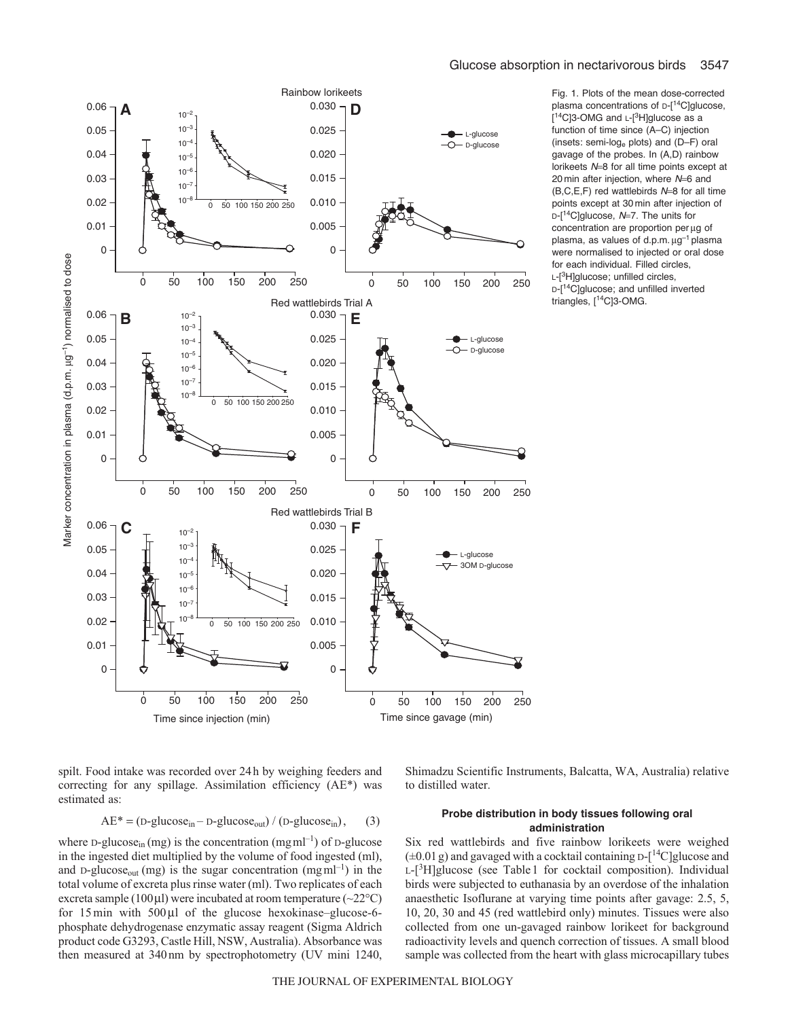

Fig. 1. Plots of the mean dose-corrected plasma concentrations of  $D-[14C]$ glucose, [<sup>14</sup>C]3-OMG and L-[<sup>3</sup>H]glucose as a function of time since (A–C) injection (insets: semi-loge plots) and (D–F) oral gavage of the probes. In (A,D) rainbow lorikeets N=8 for all time points except at 20 min after injection, where N=6 and  $(B, C, E, F)$  red wattlebirds  $N=8$  for all time points except at 30 min after injection of  $D-[$ <sup>14</sup>C]glucose, N=7. The units for concentration are proportion per μg of plasma, as values of d.p.m.  $\mu$ g<sup>-1</sup> plasma were normalised to injected or oral dose for each individual. Filled circles, L-[<sup>3</sup>H]glucose; unfilled circles. D-[<sup>14</sup>C]glucose; and unfilled inverted triangles, [14C]3-OMG.

spilt. Food intake was recorded over 24h by weighing feeders and correcting for any spillage. Assimilation efficiency (AE\*) was estimated as:

$$
AE^* = (D-glucose_{in} - D-glucose_{out}) / (D-glucose_{in}),
$$
 (3)

where D-glucose<sub>in</sub> (mg) is the concentration (mgml<sup>-1</sup>) of D-glucose in the ingested diet multiplied by the volume of food ingested (ml), and D-glucose<sub>out</sub> (mg) is the sugar concentration (mgml<sup>-1</sup>) in the total volume of excreta plus rinse water (ml). Two replicates of each excreta sample (100 µl) were incubated at room temperature ( $\sim$ 22 $\degree$ C) for 15 min with 500μl of the glucose hexokinase–glucose-6 phosphate dehydrogenase enzymatic assay reagent (Sigma Aldrich product code G3293, Castle Hill, NSW, Australia). Absorbance was then measured at 340nm by spectrophotometry (UV mini 1240,

## **Probe distribution in body tissues following oral administration**

Shimadzu Scientific Instruments, Balcatta, WA, Australia) relative

Six red wattlebirds and five rainbow lorikeets were weighed  $(\pm 0.01 \text{ g})$  and gavaged with a cocktail containing D- $[^{14}C]$ glucose and L-[<sup>3</sup>H]glucose (see Table 1 for cocktail composition). Individual birds were subjected to euthanasia by an overdose of the inhalation anaesthetic Isoflurane at varying time points after gavage: 2.5, 5, 10, 20, 30 and 45 (red wattlebird only) minutes. Tissues were also collected from one un-gavaged rainbow lorikeet for background radioactivity levels and quench correction of tissues. A small blood sample was collected from the heart with glass microcapillary tubes

to distilled water.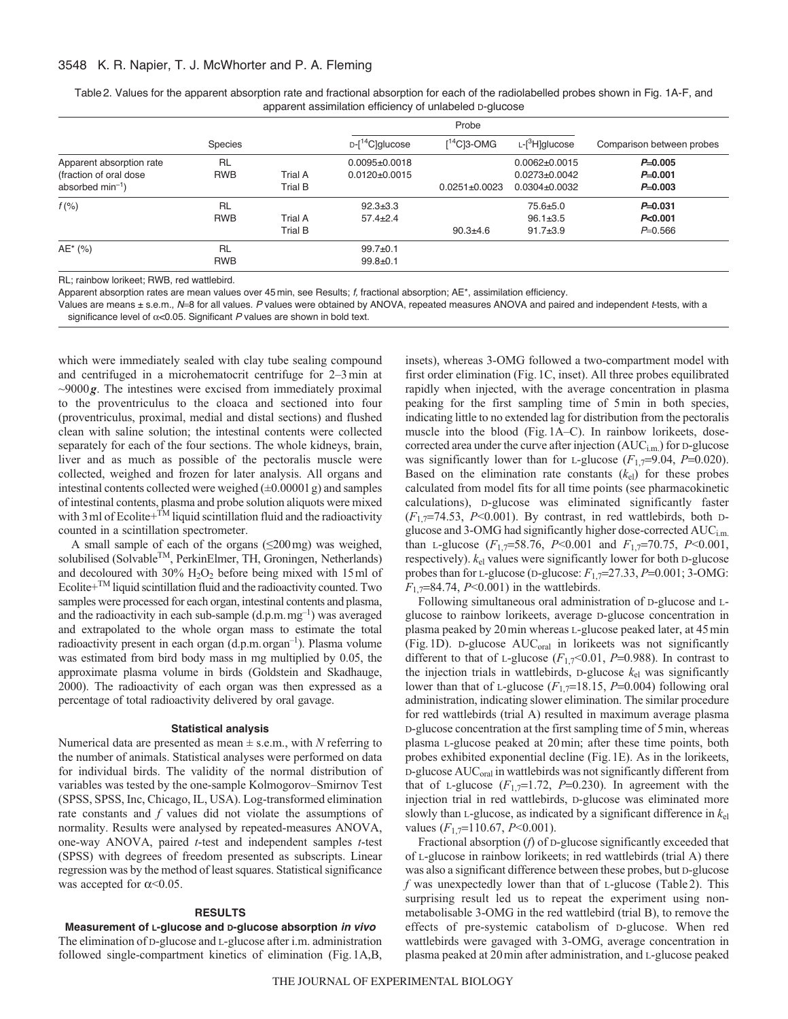## 3548 K. R. Napier, T. J. McWhorter and P. A. Fleming

|                          |                |                | apparent assimilation efficiency of unlabeled D-glucose |                     |                            |                           |
|--------------------------|----------------|----------------|---------------------------------------------------------|---------------------|----------------------------|---------------------------|
|                          |                |                |                                                         |                     |                            |                           |
|                          | <b>Species</b> |                | $D-[14C]$ glucose                                       | $[14C]$ 3-OMG       | L-[ <sup>3</sup> H]glucose | Comparison between probes |
| Apparent absorption rate | <b>RL</b>      |                | $0.0095 \pm 0.0018$                                     |                     | $0.0062 \pm 0.0015$        | $P=0.005$                 |
| (fraction of oral dose)  | <b>RWB</b>     | Trial A        | $0.0120\pm0.0015$                                       |                     | $0.0273 \pm 0.0042$        | $P=0.001$                 |
| absorbed $min^{-1}$ )    |                | <b>Trial B</b> |                                                         | $0.0251 \pm 0.0023$ | $0.0304 \pm 0.0032$        | $P=0.003$                 |
| f(% )                    | <b>RL</b>      |                | $92.3 + 3.3$                                            |                     | $75.6 + 5.0$               | $P=0.031$                 |
|                          | <b>RWB</b>     | Trial A        | $57.4 + 2.4$                                            |                     | $96.1 \pm 3.5$             | P<0.001                   |
|                          |                | <b>Trial B</b> |                                                         | $90.3 + 4.6$        | $91.7 + 3.9$               | $P=0.566$                 |
| AE* (%)                  | <b>RL</b>      |                | $99.7 + 0.1$                                            |                     |                            |                           |
|                          | <b>RWB</b>     |                | $99.8 + 0.1$                                            |                     |                            |                           |
|                          |                |                |                                                         |                     |                            |                           |

Table 2. Values for the apparent absorption rate and fractional absorption for each of the radiolabelled probes shown in Fig. 1A-F, and apparent assimilation efficiency of unlabeled D-glucose

RL; rainbow lorikeet; RWB, red wattlebird.

Apparent absorption rates are mean values over 45 min, see Results; f, fractional absorption; AE\*, assimilation efficiency.

Values are means ± s.e.m., N=8 for all values. P values were obtained by ANOVA, repeated measures ANOVA and paired and independent t-tests, with a significance level of  $\alpha$ <0.05. Significant P values are shown in bold text.

which were immediately sealed with clay tube sealing compound and centrifuged in a microhematocrit centrifuge for 2–3min at ~9000*g*. The intestines were excised from immediately proximal to the proventriculus to the cloaca and sectioned into four (proventriculus, proximal, medial and distal sections) and flushed clean with saline solution; the intestinal contents were collected separately for each of the four sections. The whole kidneys, brain, liver and as much as possible of the pectoralis muscle were collected, weighed and frozen for later analysis. All organs and intestinal contents collected were weighed  $(\pm 0.00001g)$  and samples of intestinal contents, plasma and probe solution aliquots were mixed with 3 ml of Ecolite+ $^{TM}$  liquid scintillation fluid and the radioactivity counted in a scintillation spectrometer.

A small sample of each of the organs (≤200mg) was weighed, solubilised (Solvable<sup>TM</sup>, PerkinElmer, TH, Groningen, Netherlands) and decoloured with  $30\%$  H<sub>2</sub>O<sub>2</sub> before being mixed with 15 ml of Ecolite $+^{TM}$  liquid scintillation fluid and the radioactivity counted. Two samples were processed for each organ, intestinal contents and plasma, and the radioactivity in each sub-sample  $(d.p.m.mg^{-1})$  was averaged and extrapolated to the whole organ mass to estimate the total radioactivity present in each organ  $(d.p.m. organ<sup>-1</sup>)$ . Plasma volume was estimated from bird body mass in mg multiplied by 0.05, the approximate plasma volume in birds (Goldstein and Skadhauge, 2000). The radioactivity of each organ was then expressed as a percentage of total radioactivity delivered by oral gavage.

#### **Statistical analysis**

Numerical data are presented as mean ± s.e.m., with *N* referring to the number of animals. Statistical analyses were performed on data for individual birds. The validity of the normal distribution of variables was tested by the one-sample Kolmogorov–Smirnov Test (SPSS, SPSS, Inc, Chicago, IL, USA). Log-transformed elimination rate constants and *f* values did not violate the assumptions of normality. Results were analysed by repeated-measures ANOVA, one-way ANOVA, paired *t*-test and independent samples *t*-test (SPSS) with degrees of freedom presented as subscripts. Linear regression was by the method of least squares. Statistical significance was accepted for  $\alpha \leq 0.05$ .

#### **RESULTS**

**Measurement of L-glucose and D-glucose absorption** *in vivo* The elimination of D-glucose and L-glucose after i.m. administration followed single-compartment kinetics of elimination (Fig.1A,B, insets), whereas 3-OMG followed a two-compartment model with first order elimination (Fig.1C, inset). All three probes equilibrated rapidly when injected, with the average concentration in plasma peaking for the first sampling time of 5min in both species, indicating little to no extended lag for distribution from the pectoralis muscle into the blood (Fig.1A–C). In rainbow lorikeets, dosecorrected area under the curve after injection (AUC<sub>i.m.</sub>) for D-glucose was significantly lower than for L-glucose  $(F_{1,7}=9.04, P=0.020)$ . Based on the elimination rate constants  $(k_{el})$  for these probes calculated from model fits for all time points (see pharmacokinetic calculations), D-glucose was eliminated significantly faster  $(F_{1,7}=74.53, P<0.001)$ . By contrast, in red wattlebirds, both Dglucose and 3-OMG had significantly higher dose-corrected AUC<sub>i.m.</sub> than L-glucose (*F*1,7=58.76, *P*<0.001 and *F*1,7=70.75, *P*<0.001, respectively). *k*el values were significantly lower for both D-glucose probes than for L-glucose (D-glucose: *F*1,7=27.33, *P*=0.001; 3-OMG: *F*1,7=84.74, *P*<0.001) in the wattlebirds.

Following simultaneous oral administration of D-glucose and Lglucose to rainbow lorikeets, average D-glucose concentration in plasma peaked by 20min whereas L-glucose peaked later, at 45min (Fig. 1D). D-glucose AUC<sub>oral</sub> in lorikeets was not significantly different to that of L-glucose  $(F_{1,7} < 0.01, P = 0.988)$ . In contrast to the injection trials in wattlebirds,  $D$ -glucose  $k_{el}$  was significantly lower than that of L-glucose  $(F_{1,7}=18.15, P=0.004)$  following oral administration, indicating slower elimination. The similar procedure for red wattlebirds (trial A) resulted in maximum average plasma D-glucose concentration at the first sampling time of 5min, whereas plasma L-glucose peaked at 20min; after these time points, both probes exhibited exponential decline (Fig.1E). As in the lorikeets, D-glucose AUC<sub>oral</sub> in wattlebirds was not significantly different from that of L-glucose  $(F_{1,7}=1.72, P=0.230)$ . In agreement with the injection trial in red wattlebirds, D-glucose was eliminated more slowly than L-glucose, as indicated by a significant difference in *k*el values  $(F_{1,7}=110.67, P<0.001)$ .

Fractional absorption (*f*) of D-glucose significantly exceeded that of L-glucose in rainbow lorikeets; in red wattlebirds (trial A) there was also a significant difference between these probes, but D-glucose *f* was unexpectedly lower than that of L-glucose (Table2). This surprising result led us to repeat the experiment using nonmetabolisable 3-OMG in the red wattlebird (trial B), to remove the effects of pre-systemic catabolism of D-glucose. When red wattlebirds were gavaged with 3-OMG, average concentration in plasma peaked at 20min after administration, and L-glucose peaked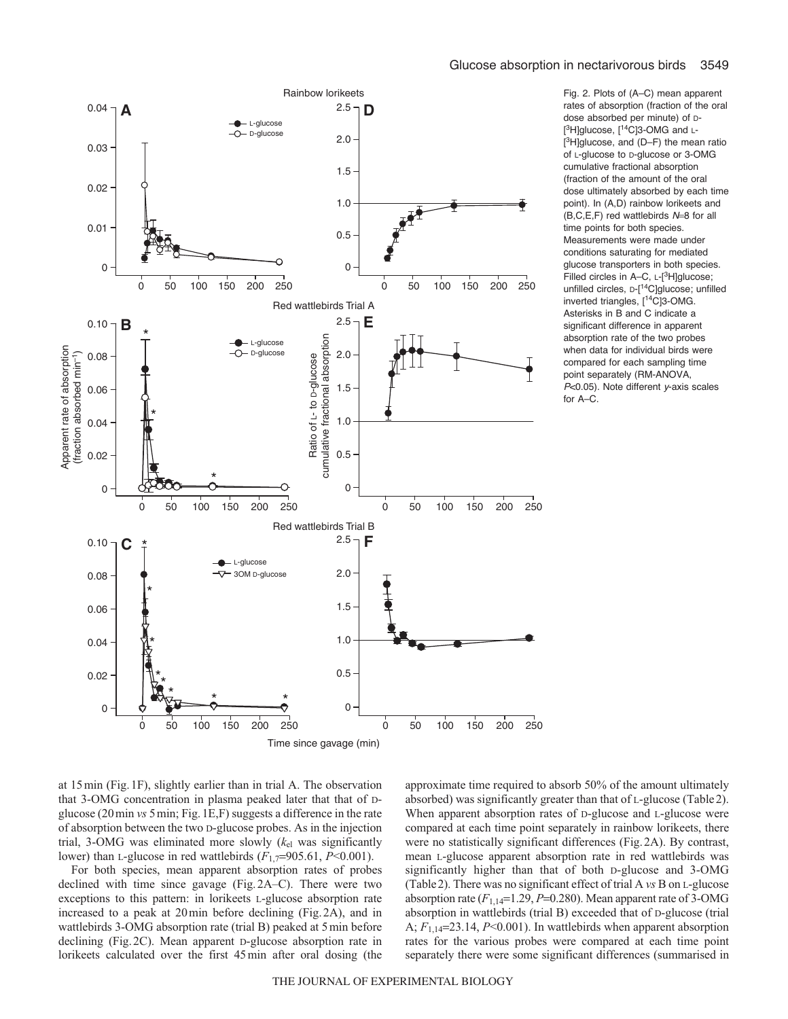

Fig. 2. Plots of (A–C) mean apparent rates of absorption (fraction of the oral dose absorbed per minute) of D- [<sup>3</sup>H]glucose, [<sup>14</sup>C]3-OMG and L-[ 3H]glucose, and (D–F) the mean ratio of L-glucose to D-glucose or 3-OMG cumulative fractional absorption (fraction of the amount of the oral dose ultimately absorbed by each time point). In (A,D) rainbow lorikeets and  $(B, C, E, F)$  red wattlebirds  $N=8$  for all time points for both species. Measurements were made under conditions saturating for mediated glucose transporters in both species. Filled circles in A–C, L-[<sup>3</sup>H]glucose; unfilled circles, D-[14C]glucose; unfilled inverted triangles, [14C]3-OMG. Asterisks in B and C indicate a significant difference in apparent absorption rate of the two probes when data for individual birds were compared for each sampling time point separately (RM-ANOVA,  $P<0.05$ ). Note different y-axis scales for A–C.

at 15min (Fig.1F), slightly earlier than in trial A. The observation that 3-OMG concentration in plasma peaked later that that of Dglucose (20min *vs* 5min; Fig.1E,F) suggests a difference in the rate of absorption between the two D-glucose probes. As in the injection trial, 3-OMG was eliminated more slowly (*k*el was significantly lower) than L-glucose in red wattlebirds (*F*1,7=905.61, *P*<0.001).

For both species, mean apparent absorption rates of probes declined with time since gavage (Fig.2A–C). There were two exceptions to this pattern: in lorikeets L-glucose absorption rate increased to a peak at 20min before declining (Fig.2A), and in wattlebirds 3-OMG absorption rate (trial B) peaked at 5min before declining (Fig.2C). Mean apparent D-glucose absorption rate in lorikeets calculated over the first 45min after oral dosing (the approximate time required to absorb 50% of the amount ultimately absorbed) was significantly greater than that of L-glucose (Table2). When apparent absorption rates of D-glucose and L-glucose were compared at each time point separately in rainbow lorikeets, there were no statistically significant differences (Fig.2A). By contrast, mean L-glucose apparent absorption rate in red wattlebirds was significantly higher than that of both D-glucose and 3-OMG (Table2). There was no significant effect of trial A *vs* B on L-glucose absorption rate  $(F_{1,14}=1.29, P=0.280)$ . Mean apparent rate of 3-OMG absorption in wattlebirds (trial B) exceeded that of D-glucose (trial A; *F*1,14=23.14, *P*<0.001). In wattlebirds when apparent absorption rates for the various probes were compared at each time point separately there were some significant differences (summarised in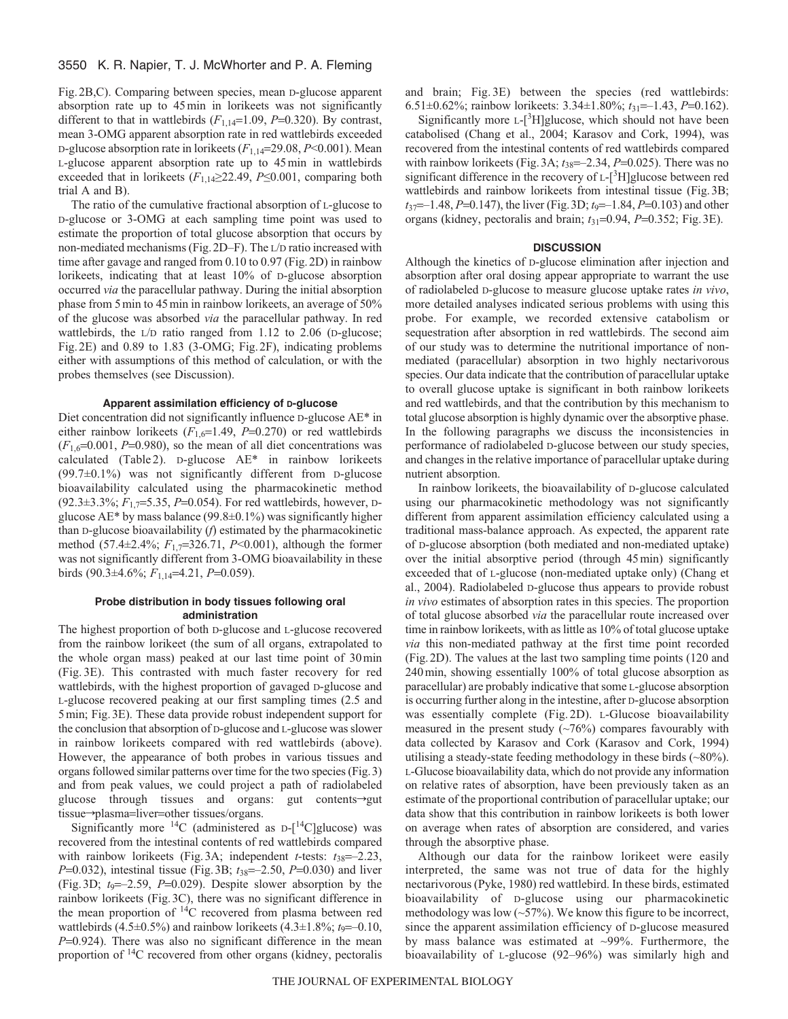Fig.2B,C). Comparing between species, mean D-glucose apparent absorption rate up to 45min in lorikeets was not significantly different to that in wattlebirds  $(F_{1,14}=1.09, P=0.320)$ . By contrast, mean 3-OMG apparent absorption rate in red wattlebirds exceeded D-glucose absorption rate in lorikeets (*F*1,14=29.08, *P*<0.001). Mean L-glucose apparent absorption rate up to 45min in wattlebirds exceeded that in lorikeets (*F*1,14≥22.49, *P*≤0.001, comparing both trial A and B).

The ratio of the cumulative fractional absorption of L-glucose to D-glucose or 3-OMG at each sampling time point was used to estimate the proportion of total glucose absorption that occurs by non-mediated mechanisms (Fig.2D–F). The L/D ratio increased with time after gavage and ranged from 0.10 to 0.97 (Fig.2D) in rainbow lorikeets, indicating that at least 10% of D-glucose absorption occurred *via* the paracellular pathway. During the initial absorption phase from 5min to 45min in rainbow lorikeets, an average of 50% of the glucose was absorbed *via* the paracellular pathway. In red wattlebirds, the L/D ratio ranged from 1.12 to 2.06 (D-glucose; Fig.2E) and 0.89 to 1.83 (3-OMG; Fig.2F), indicating problems either with assumptions of this method of calculation, or with the probes themselves (see Discussion).

#### **Apparent assimilation efficiency of D-glucose**

Diet concentration did not significantly influence D-glucose AE\* in either rainbow lorikeets  $(F_{1,6}=1.49, P=0.270)$  or red wattlebirds  $(F_{1,6}=0.001, P=0.980)$ , so the mean of all diet concentrations was calculated (Table 2). D-glucose AE\* in rainbow lorikeets (99.7±0.1%) was not significantly different from D-glucose bioavailability calculated using the pharmacokinetic method (92.3±3.3%; *F*1,7=5.35, *P*=0.054). For red wattlebirds, however, Dglucose AE\* by mass balance (99.8±0.1%) was significantly higher than D-glucose bioavailability (*f*) estimated by the pharmacokinetic method (57.4±2.4%; *F*1,7=326.71, *P*<0.001), although the former was not significantly different from 3-OMG bioavailability in these birds (90.3±4.6%; *F*1,14=4.21, *P*=0.059).

## **Probe distribution in body tissues following oral administration**

The highest proportion of both D-glucose and L-glucose recovered from the rainbow lorikeet (the sum of all organs, extrapolated to the whole organ mass) peaked at our last time point of 30min (Fig. 3E). This contrasted with much faster recovery for red wattlebirds, with the highest proportion of gavaged D-glucose and L-glucose recovered peaking at our first sampling times (2.5 and 5min; Fig.3E). These data provide robust independent support for the conclusion that absorption of D-glucose and L-glucose was slower in rainbow lorikeets compared with red wattlebirds (above). However, the appearance of both probes in various tissues and organs followed similar patterns over time for the two species (Fig.3) and from peak values, we could project a path of radiolabeled glucose through tissues and organs: gut contents-yeut  $tissue \rightarrow plasma = liver = other tissues/organs$ .

Significantly more  ${}^{14}C$  (administered as D- $[{}^{14}C]$ glucose) was recovered from the intestinal contents of red wattlebirds compared with rainbow lorikeets (Fig. 3A; independent *t*-tests:  $t_{38}=-2.23$ , *P*=0.032), intestinal tissue (Fig.3B; *t*38=–2.50, *P*=0.030) and liver (Fig.3D; *t*9=–2.59, *P*=0.029). Despite slower absorption by the rainbow lorikeets (Fig.3C), there was no significant difference in the mean proportion of  $14C$  recovered from plasma between red wattlebirds  $(4.5\pm0.5\%)$  and rainbow lorikeets  $(4.3\pm1.8\%; t_0 = -0.10,$ *P*=0.924). There was also no significant difference in the mean proportion of 14C recovered from other organs (kidney, pectoralis and brain; Fig. 3E) between the species (red wattlebirds: 6.51±0.62%; rainbow lorikeets: 3.34±1.80%; *t*31=–1.43, *P*=0.162).

Significantly more L-[<sup>3</sup>H]glucose, which should not have been catabolised (Chang et al., 2004; Karasov and Cork, 1994), was recovered from the intestinal contents of red wattlebirds compared with rainbow lorikeets (Fig. 3A;  $t_{38}$ =–2.34, *P*=0.025). There was no significant difference in the recovery of L-[<sup>3</sup>H]glucose between red wattlebirds and rainbow lorikeets from intestinal tissue (Fig.3B; *t*<sub>37</sub> = –1.48, *P*=0.147), the liver (Fig. 3D; *t*<sub>9</sub> = –1.84, *P*=0.103) and other organs (kidney, pectoralis and brain; *t*31=0.94, *P*=0.352; Fig.3E).

### **DISCUSSION**

Although the kinetics of D-glucose elimination after injection and absorption after oral dosing appear appropriate to warrant the use of radiolabeled D-glucose to measure glucose uptake rates *in vivo*, more detailed analyses indicated serious problems with using this probe. For example, we recorded extensive catabolism or sequestration after absorption in red wattlebirds. The second aim of our study was to determine the nutritional importance of nonmediated (paracellular) absorption in two highly nectarivorous species. Our data indicate that the contribution of paracellular uptake to overall glucose uptake is significant in both rainbow lorikeets and red wattlebirds, and that the contribution by this mechanism to total glucose absorption is highly dynamic over the absorptive phase. In the following paragraphs we discuss the inconsistencies in performance of radiolabeled D-glucose between our study species, and changes in the relative importance of paracellular uptake during nutrient absorption.

In rainbow lorikeets, the bioavailability of D-glucose calculated using our pharmacokinetic methodology was not significantly different from apparent assimilation efficiency calculated using a traditional mass-balance approach. As expected, the apparent rate of D-glucose absorption (both mediated and non-mediated uptake) over the initial absorptive period (through 45min) significantly exceeded that of L-glucose (non-mediated uptake only) (Chang et al., 2004). Radiolabeled D-glucose thus appears to provide robust *in vivo* estimates of absorption rates in this species. The proportion of total glucose absorbed *via* the paracellular route increased over time in rainbow lorikeets, with as little as 10% of total glucose uptake *via* this non-mediated pathway at the first time point recorded (Fig.2D). The values at the last two sampling time points (120 and 240min, showing essentially 100% of total glucose absorption as paracellular) are probably indicative that some L-glucose absorption is occurring further along in the intestine, after D-glucose absorption was essentially complete (Fig. 2D). L-Glucose bioavailability measured in the present study  $(\sim 76\%)$  compares favourably with data collected by Karasov and Cork (Karasov and Cork, 1994) utilising a steady-state feeding methodology in these birds (~80%). L-Glucose bioavailability data, which do not provide any information on relative rates of absorption, have been previously taken as an estimate of the proportional contribution of paracellular uptake; our data show that this contribution in rainbow lorikeets is both lower on average when rates of absorption are considered, and varies through the absorptive phase.

Although our data for the rainbow lorikeet were easily interpreted, the same was not true of data for the highly nectarivorous (Pyke, 1980) red wattlebird. In these birds, estimated bioavailability of D-glucose using our pharmacokinetic methodology was low  $(\sim 57\%)$ . We know this figure to be incorrect, since the apparent assimilation efficiency of D-glucose measured by mass balance was estimated at ~99%. Furthermore, the bioavailability of L-glucose (92–96%) was similarly high and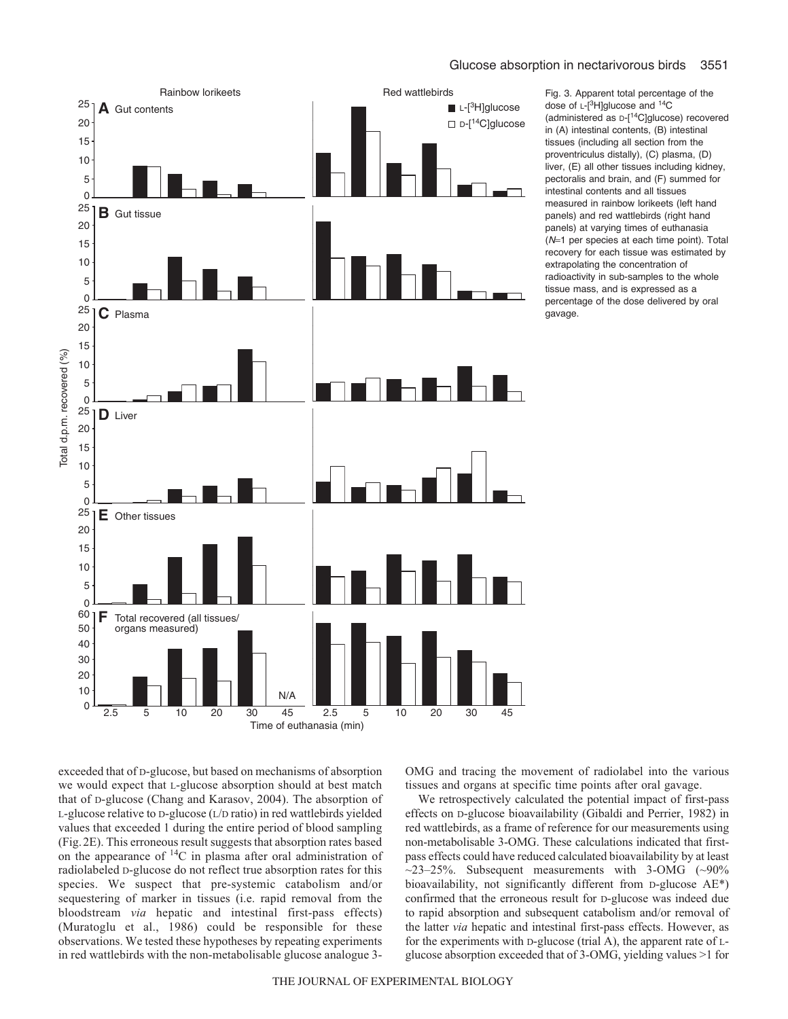

Fig. 3. Apparent total percentage of the dose of  $L-[3H]$ glucose and  $14C$ (administered as D-[14C]glucose) recovered in (A) intestinal contents, (B) intestinal tissues (including all section from the proventriculus distally), (C) plasma, (D) liver, (E) all other tissues including kidney, pectoralis and brain, and (F) summed for intestinal contents and all tissues measured in rainbow lorikeets (left hand panels) and red wattlebirds (right hand panels) at varying times of euthanasia (N=1 per species at each time point). Total recovery for each tissue was estimated by extrapolating the concentration of radioactivity in sub-samples to the whole tissue mass, and is expressed as a percentage of the dose delivered by oral gavage.

exceeded that of D-glucose, but based on mechanisms of absorption we would expect that L-glucose absorption should at best match that of D-glucose (Chang and Karasov, 2004). The absorption of L-glucose relative to D-glucose (L/D ratio) in red wattlebirds yielded values that exceeded 1 during the entire period of blood sampling (Fig.2E). This erroneous result suggests that absorption rates based on the appearance of  ${}^{14}C$  in plasma after oral administration of radiolabeled D-glucose do not reflect true absorption rates for this species. We suspect that pre-systemic catabolism and/or sequestering of marker in tissues (i.e. rapid removal from the bloodstream *via* hepatic and intestinal first-pass effects) (Muratoglu et al., 1986) could be responsible for these observations. We tested these hypotheses by repeating experiments in red wattlebirds with the non-metabolisable glucose analogue 3OMG and tracing the movement of radiolabel into the various tissues and organs at specific time points after oral gavage.

We retrospectively calculated the potential impact of first-pass effects on D-glucose bioavailability (Gibaldi and Perrier, 1982) in red wattlebirds, as a frame of reference for our measurements using non-metabolisable 3-OMG. These calculations indicated that firstpass effects could have reduced calculated bioavailability by at least  $\sim$ 23–25%. Subsequent measurements with 3-OMG ( $\sim$ 90% bioavailability, not significantly different from D-glucose AE\*) confirmed that the erroneous result for D-glucose was indeed due to rapid absorption and subsequent catabolism and/or removal of the latter *via* hepatic and intestinal first-pass effects. However, as for the experiments with D-glucose (trial A), the apparent rate of Lglucose absorption exceeded that of 3-OMG, yielding values >1 for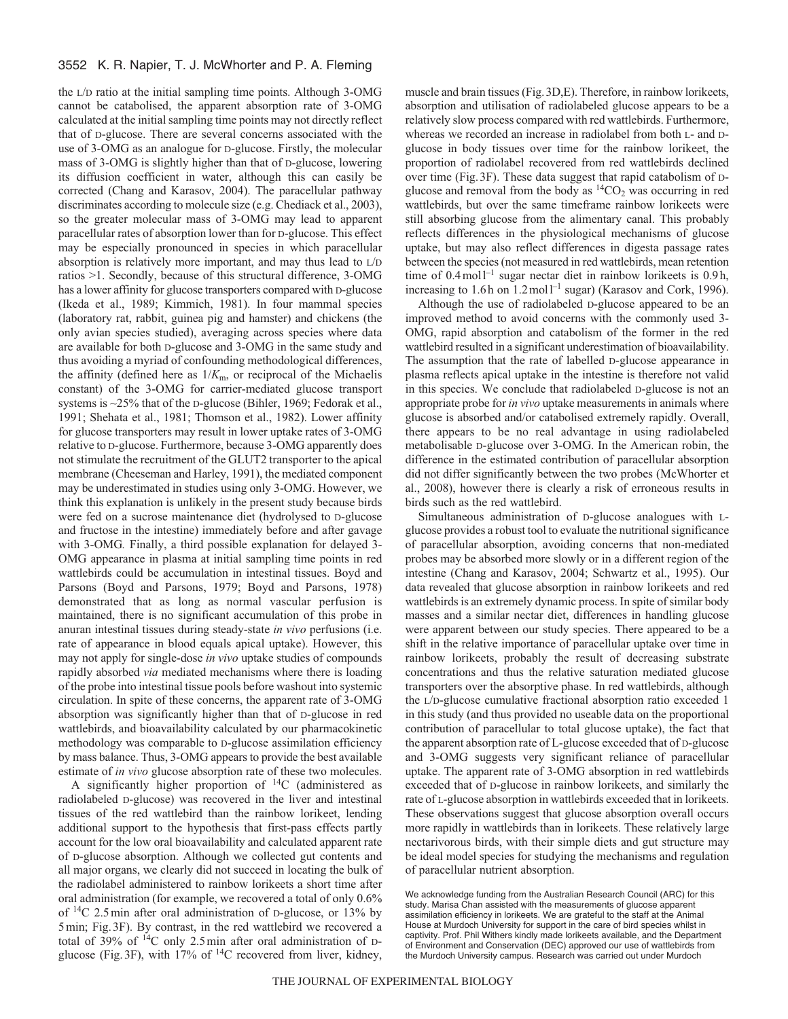the L/D ratio at the initial sampling time points. Although 3-OMG cannot be catabolised, the apparent absorption rate of 3-OMG calculated at the initial sampling time points may not directly reflect that of D-glucose. There are several concerns associated with the use of 3-OMG as an analogue for D-glucose. Firstly, the molecular mass of 3-OMG is slightly higher than that of D-glucose, lowering its diffusion coefficient in water, although this can easily be corrected (Chang and Karasov, 2004). The paracellular pathway discriminates according to molecule size (e.g. Chediack et al., 2003), so the greater molecular mass of 3-OMG may lead to apparent paracellular rates of absorption lower than for D-glucose. This effect may be especially pronounced in species in which paracellular absorption is relatively more important, and may thus lead to L/D ratios >1. Secondly, because of this structural difference, 3-OMG has a lower affinity for glucose transporters compared with D-glucose (Ikeda et al., 1989; Kimmich, 1981). In four mammal species (laboratory rat, rabbit, guinea pig and hamster) and chickens (the only avian species studied), averaging across species where data are available for both D-glucose and 3-OMG in the same study and thus avoiding a myriad of confounding methodological differences, the affinity (defined here as  $1/K<sub>m</sub>$ , or reciprocal of the Michaelis constant) of the 3-OMG for carrier-mediated glucose transport systems is ~25% that of the D-glucose (Bihler, 1969; Fedorak et al., 1991; Shehata et al., 1981; Thomson et al., 1982). Lower affinity for glucose transporters may result in lower uptake rates of 3-OMG relative to D-glucose. Furthermore, because 3-OMG apparently does not stimulate the recruitment of the GLUT2 transporter to the apical membrane (Cheeseman and Harley, 1991), the mediated component may be underestimated in studies using only 3-OMG. However, we think this explanation is unlikely in the present study because birds were fed on a sucrose maintenance diet (hydrolysed to D-glucose and fructose in the intestine) immediately before and after gavage with 3-OMG*.* Finally, a third possible explanation for delayed 3- OMG appearance in plasma at initial sampling time points in red wattlebirds could be accumulation in intestinal tissues. Boyd and Parsons (Boyd and Parsons, 1979; Boyd and Parsons, 1978) demonstrated that as long as normal vascular perfusion is maintained, there is no significant accumulation of this probe in anuran intestinal tissues during steady-state *in vivo* perfusions (i.e. rate of appearance in blood equals apical uptake). However, this may not apply for single-dose *in vivo* uptake studies of compounds rapidly absorbed *via* mediated mechanisms where there is loading of the probe into intestinal tissue pools before washout into systemic circulation. In spite of these concerns, the apparent rate of 3-OMG absorption was significantly higher than that of D-glucose in red wattlebirds, and bioavailability calculated by our pharmacokinetic methodology was comparable to D-glucose assimilation efficiency by mass balance. Thus, 3-OMG appears to provide the best available estimate of *in vivo* glucose absorption rate of these two molecules.

A significantly higher proportion of  $^{14}C$  (administered as radiolabeled D-glucose) was recovered in the liver and intestinal tissues of the red wattlebird than the rainbow lorikeet, lending additional support to the hypothesis that first-pass effects partly account for the low oral bioavailability and calculated apparent rate of D-glucose absorption. Although we collected gut contents and all major organs, we clearly did not succeed in locating the bulk of the radiolabel administered to rainbow lorikeets a short time after oral administration (for example, we recovered a total of only 0.6% of  $^{14}$ C 2.5min after oral administration of D-glucose, or 13% by 5min; Fig.3F). By contrast, in the red wattlebird we recovered a total of 39% of  ${}^{14}C$  only 2.5 min after oral administration of Dglucose (Fig. 3F), with  $17\%$  of  $^{14}$ C recovered from liver, kidney,

muscle and brain tissues (Fig.3D,E). Therefore, in rainbow lorikeets, absorption and utilisation of radiolabeled glucose appears to be a relatively slow process compared with red wattlebirds. Furthermore, whereas we recorded an increase in radiolabel from both L- and Dglucose in body tissues over time for the rainbow lorikeet, the proportion of radiolabel recovered from red wattlebirds declined over time (Fig.3F). These data suggest that rapid catabolism of Dglucose and removal from the body as  ${}^{14}CO_2$  was occurring in red wattlebirds, but over the same timeframe rainbow lorikeets were still absorbing glucose from the alimentary canal. This probably reflects differences in the physiological mechanisms of glucose uptake, but may also reflect differences in digesta passage rates between the species (not measured in red wattlebirds, mean retention time of  $0.4 \text{ mol}^{-1}$  sugar nectar diet in rainbow lorikeets is  $0.9 \text{ h}$ , increasing to 1.6h on  $1.2$  mol $1^{-1}$  sugar) (Karasov and Cork, 1996).

Although the use of radiolabeled D-glucose appeared to be an improved method to avoid concerns with the commonly used 3- OMG, rapid absorption and catabolism of the former in the red wattlebird resulted in a significant underestimation of bioavailability. The assumption that the rate of labelled D-glucose appearance in plasma reflects apical uptake in the intestine is therefore not valid in this species. We conclude that radiolabeled D-glucose is not an appropriate probe for *in vivo* uptake measurements in animals where glucose is absorbed and/or catabolised extremely rapidly. Overall, there appears to be no real advantage in using radiolabeled metabolisable D-glucose over 3-OMG. In the American robin, the difference in the estimated contribution of paracellular absorption did not differ significantly between the two probes (McWhorter et al., 2008), however there is clearly a risk of erroneous results in birds such as the red wattlebird.

Simultaneous administration of D-glucose analogues with Lglucose provides a robust tool to evaluate the nutritional significance of paracellular absorption, avoiding concerns that non-mediated probes may be absorbed more slowly or in a different region of the intestine (Chang and Karasov, 2004; Schwartz et al., 1995). Our data revealed that glucose absorption in rainbow lorikeets and red wattlebirds is an extremely dynamic process. In spite of similar body masses and a similar nectar diet, differences in handling glucose were apparent between our study species. There appeared to be a shift in the relative importance of paracellular uptake over time in rainbow lorikeets, probably the result of decreasing substrate concentrations and thus the relative saturation mediated glucose transporters over the absorptive phase. In red wattlebirds, although the L/D-glucose cumulative fractional absorption ratio exceeded 1 in this study (and thus provided no useable data on the proportional contribution of paracellular to total glucose uptake), the fact that the apparent absorption rate of L-glucose exceeded that of D-glucose and 3-OMG suggests very significant reliance of paracellular uptake. The apparent rate of 3-OMG absorption in red wattlebirds exceeded that of D-glucose in rainbow lorikeets, and similarly the rate of L-glucose absorption in wattlebirds exceeded that in lorikeets. These observations suggest that glucose absorption overall occurs more rapidly in wattlebirds than in lorikeets. These relatively large nectarivorous birds, with their simple diets and gut structure may be ideal model species for studying the mechanisms and regulation of paracellular nutrient absorption.

We acknowledge funding from the Australian Research Council (ARC) for this study. Marisa Chan assisted with the measurements of glucose apparent assimilation efficiency in lorikeets. We are grateful to the staff at the Animal House at Murdoch University for support in the care of bird species whilst in captivity. Prof. Phil Withers kindly made lorikeets available, and the Department of Environment and Conservation (DEC) approved our use of wattlebirds from the Murdoch University campus. Research was carried out under Murdoch